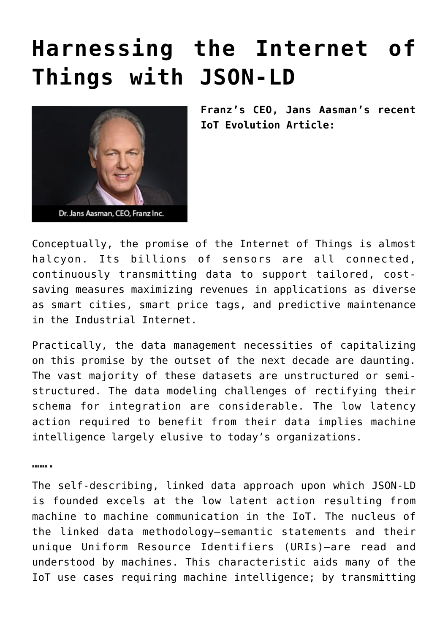## **[Harnessing the Internet of](https://allegrograph.com/harnessing-the-internet-of-things-with-json-ld/) [Things with JSON-LD](https://allegrograph.com/harnessing-the-internet-of-things-with-json-ld/)**



**Franz's CEO, Jans Aasman's recent IoT Evolution Article:**

Conceptually, the promise of the Internet of Things is almost halcyon. Its billions of sensors are all connected, continuously transmitting data to support tailored, costsaving measures maximizing revenues in applications as diverse as smart cities, smart price tags, and predictive maintenance in the Industrial Internet.

Practically, the data management necessities of capitalizing on this promise by the outset of the next decade are daunting. The vast majority of these datasets are unstructured or semistructured. The data modeling challenges of rectifying their schema for integration are considerable. The low latency action required to benefit from their data implies machine intelligence largely elusive to today's organizations.

**…….**

The self-describing, linked data approach upon which JSON-LD is founded excels at the low latent action resulting from machine to machine communication in the IoT. The nucleus of the linked data methodology—semantic statements and their unique Uniform Resource Identifiers (URIs)—are read and understood by machines. This characteristic aids many of the IoT use cases requiring machine intelligence; by transmitting